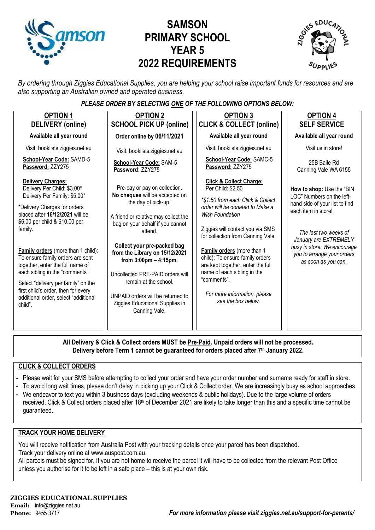

# **SAMSON PRIMARY SCHOOL YEAR 5 2022 REQUIREMENTS**



*By ordering through Ziggies Educational Supplies, you are helping your school raise important funds for resources and are also supporting an Australian owned and operated business.*

## *PLEASE ORDER BY SELECTING ONE OF THE FOLLOWING OPTIONS BELOW:*

| <b>OPTION 1</b><br>DELIVERY (online)                                                                                                                                                                                                                                                                                                                                                                                                                                                      | <b>OPTION 2</b><br><b>SCHOOL PICK UP (online)</b>                                                                                                                                                                                                                                                                                                                                                                                                | <b>OPTION 3</b><br><b>CLICK &amp; COLLECT (online)</b>                                                                                                                                                                                                                                                                                                                                                                                              | <b>OPTION 4</b><br><b>SELF SERVICE</b>                                                                                                                                                                                                                |
|-------------------------------------------------------------------------------------------------------------------------------------------------------------------------------------------------------------------------------------------------------------------------------------------------------------------------------------------------------------------------------------------------------------------------------------------------------------------------------------------|--------------------------------------------------------------------------------------------------------------------------------------------------------------------------------------------------------------------------------------------------------------------------------------------------------------------------------------------------------------------------------------------------------------------------------------------------|-----------------------------------------------------------------------------------------------------------------------------------------------------------------------------------------------------------------------------------------------------------------------------------------------------------------------------------------------------------------------------------------------------------------------------------------------------|-------------------------------------------------------------------------------------------------------------------------------------------------------------------------------------------------------------------------------------------------------|
| Available all year round                                                                                                                                                                                                                                                                                                                                                                                                                                                                  | Order online by 06/11/2021                                                                                                                                                                                                                                                                                                                                                                                                                       | Available all year round                                                                                                                                                                                                                                                                                                                                                                                                                            | Available all year round                                                                                                                                                                                                                              |
| Visit: booklists.ziggies.net.au                                                                                                                                                                                                                                                                                                                                                                                                                                                           | Visit: booklists.ziggies.net.au                                                                                                                                                                                                                                                                                                                                                                                                                  | Visit: booklists.ziggies.net.au                                                                                                                                                                                                                                                                                                                                                                                                                     | Visit us in store!                                                                                                                                                                                                                                    |
| School-Year Code: SAMD-5<br>Password: ZZY275                                                                                                                                                                                                                                                                                                                                                                                                                                              | School-Year Code: SAM-5<br>Password: ZZY275                                                                                                                                                                                                                                                                                                                                                                                                      | School-Year Code: SAMC-5<br>Password: ZZY275                                                                                                                                                                                                                                                                                                                                                                                                        | 25B Baile Rd<br>Canning Vale WA 6155                                                                                                                                                                                                                  |
| <b>Delivery Charges:</b><br>Delivery Per Child: \$3.00*<br>Delivery Per Family: \$5.00*<br>*Delivery Charges for orders<br>placed after 16/12/2021 will be<br>\$6.00 per child & \$10.00 per<br>family.<br>Family orders (more than 1 child):<br>To ensure family orders are sent<br>together, enter the full name of<br>each sibling in the "comments".<br>Select "delivery per family" on the<br>first child's order, then for every<br>additional order, select "additional<br>child". | Pre-pay or pay on collection.<br>No cheques will be accepted on<br>the day of pick-up.<br>A friend or relative may collect the<br>bag on your behalf if you cannot<br>attend.<br>Collect your pre-packed bag<br>from the Library on 15/12/2021<br>from $3:00 \text{pm} - 4:15 \text{pm}$ .<br>Uncollected PRE-PAID orders will<br>remain at the school.<br>UNPAID orders will be returned to<br>Ziggies Educational Supplies in<br>Canning Vale. | <b>Click &amp; Collect Charge:</b><br>Per Child: \$2.50<br>*\$1.50 from each Click & Collect<br>order will be donated to Make a<br><b>Wish Foundation</b><br>Ziggies will contact you via SMS<br>for collection from Canning Vale.<br><b>Family orders</b> (more than 1<br>child): To ensure family orders<br>are kept together, enter the full<br>name of each sibling in the<br>"comments".<br>For more information, please<br>see the box below. | How to shop: Use the "BIN<br>LOC" Numbers on the left-<br>hand side of your list to find<br>each item in store!<br>The last two weeks of<br>January are EXTREMELY<br>busy in store. We encourage<br>you to arrange your orders<br>as soon as you can. |

**All Delivery & Click & Collect orders MUST be Pre-Paid. Unpaid orders will not be processed. Delivery before Term 1 cannot be guaranteed for orders placed after 7th January 2022.**

## **CLICK & COLLECT ORDERS**

- Please wait for your SMS before attempting to collect your order and have your order number and surname ready for staff in store.
- To avoid long wait times, please don't delay in picking up your Click & Collect order. We are increasingly busy as school approaches.
- We endeavor to text you within 3 business days (excluding weekends & public holidays). Due to the large volume of orders received, Click & Collect orders placed after 18<sup>th</sup> of December 2021 are likely to take longer than this and a specific time cannot be guaranteed.

#### **TRACK YOUR HOME DELIVERY**

You will receive notification from Australia Post with your tracking details once your parcel has been dispatched. Track your delivery online a[t www.auspost.com.au.](http://www.auspost.com.au/)

All parcels must be signed for. If you are not home to receive the parcel it will have to be collected from the relevant Post Office unless you authorise for it to be left in a safe place – this is at your own risk.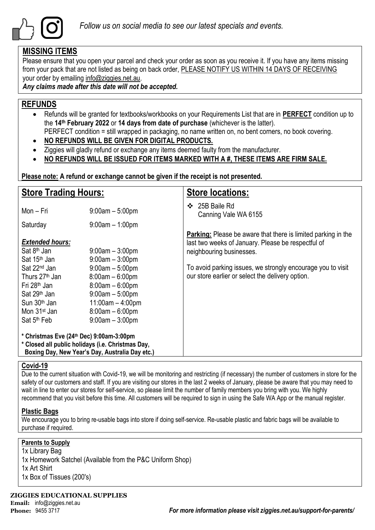

# **MISSING ITEMS**

Please ensure that you open your parcel and check your order as soon as you receive it. If you have any items missing from your pack that are not listed as being on back order, PLEASE NOTIFY US WITHIN 14 DAYS OF RECEIVING your order by emailing info@ziggies.net.au.

*Any claims made after this date will not be accepted.*

# **REFUNDS**

- Refunds will be granted for textbooks/workbooks on your Requirements List that are in **PERFECT** condition up to the **14th February 2022** or **14 days from date of purchase** (whichever is the latter). PERFECT condition = still wrapped in packaging, no name written on, no bent corners, no book covering.
- **NO REFUNDS WILL BE GIVEN FOR DIGITAL PRODUCTS.**
- Ziggies will gladly refund or exchange any items deemed faulty from the manufacturer.
- **NO REFUNDS WILL BE ISSUED FOR ITEMS MARKED WITH A #, THESE ITEMS ARE FIRM SALE.**

**Please note: A refund or exchange cannot be given if the receipt is not presented.**

| <b>Store Trading Hours:</b>                                                                                                                                                                       |                                                                                                                                                  | <b>Store locations:</b>                                                                                                                                |  |  |  |
|---------------------------------------------------------------------------------------------------------------------------------------------------------------------------------------------------|--------------------------------------------------------------------------------------------------------------------------------------------------|--------------------------------------------------------------------------------------------------------------------------------------------------------|--|--|--|
| Mon - Fri                                                                                                                                                                                         | $9:00am - 5:00pm$                                                                                                                                | 25B Baile Rd<br>❖<br>Canning Vale WA 6155                                                                                                              |  |  |  |
| Saturday                                                                                                                                                                                          | $9:00$ am $-1:00$ pm                                                                                                                             |                                                                                                                                                        |  |  |  |
| <b>Extended hours:</b><br>Sat 8 <sup>th</sup> Jan<br>Sat 15 <sup>th</sup> Jan                                                                                                                     | $9:00$ am $-3:00$ pm<br>$9:00am - 3:00pm$                                                                                                        | <b>Parking:</b> Please be aware that there is limited parking in the<br>last two weeks of January. Please be respectful of<br>neighbouring businesses. |  |  |  |
| Sat 22 <sup>nd</sup> Jan<br>Thurs 27 <sup>th</sup> Jan<br>Fri 28 <sup>th</sup> Jan<br>Sat 29 <sup>th</sup> Jan<br>Sun 30 <sup>th</sup> Jan<br>Mon 31 <sup>st</sup> Jan<br>Sat 5 <sup>th</sup> Feb | $9:00am - 5:00pm$<br>$8:00am - 6:00pm$<br>$8:00am - 6:00pm$<br>$9:00am - 5:00pm$<br>$11:00am - 4:00pm$<br>$8:00am - 6:00pm$<br>$9:00am - 3:00pm$ | To avoid parking issues, we strongly encourage you to visit<br>our store earlier or select the delivery option.                                        |  |  |  |
| * Christmas Eve (24th Dec) 9:00am-3:00pm<br>* Closed all public holidays (i.e. Christmas Day,<br>Boxing Day, New Year's Day, Australia Day etc.)                                                  |                                                                                                                                                  |                                                                                                                                                        |  |  |  |

## **Covid-19**

Due to the current situation with Covid-19, we will be monitoring and restricting (if necessary) the number of customers in store for the safety of our customers and staff. If you are visiting our stores in the last 2 weeks of January, please be aware that you may need to wait in line to enter our stores for self-service, so please limit the number of family members you bring with you. We highly recommend that you visit before this time. All customers will be required to sign in using the Safe WA App or the manual register.

# **Plastic Bags**

We encourage you to bring re-usable bags into store if doing self-service. Re-usable plastic and fabric bags will be available to purchase if required.

# **Parents to Supply**

1x Library Bag 1x Homework Satchel (Available from the P&C Uniform Shop) 1x Art Shirt 1x Box of Tissues (200's)

**ZIGGIES EDUCATIONAL SUPPLIES Email:** info@ziggies.net.au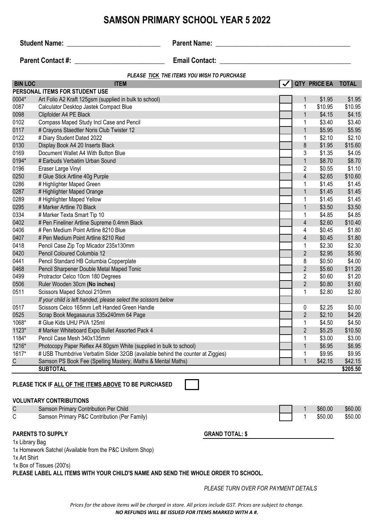#### **BIN LOC ITEM QTY PRICE EA TOTAL** 0004\* Art Folio A2 Kraft 125gsm (supplied in bulk to school) 1 \$1.95 \$1.95 0087 Calculator Desktop Jastek Compact Blue 1  $\sim$  1 \$10.95 \$10.95 \$10.95 0098 Clipfolder A4 PE Black 1 \$4.15 \$4.15 \$4.15 \$4.15 \$4.15 \$4.15 \$4.15 \$4.15 \$4.15 \$4.15 \$4.15 \$4.15 \$4.15 \$4.15 0102 Compass Maped Study Incl Case and Pencil 200 and 200 and 200 and 200 and 200 and 33.40 \$3.40 0117 # Crayons Staedtler Noris Club Twister 12 **1 1 \$5.95 \$5.95 \$5.95** \$5.95 \$5.95 \$5.95 \$5.95 \$5.95 \$5.95 \$5.95 0122 # Diary Student Dated 2022 1 \$2.10 \$2.10 0130 Display Book A4 20 Inserts Black 8 \$1.95 \$15.60 0169 Document Wallet A4 With Button Blue 3 \$1.35 \$4.05 0194\* # Earbuds Verbatim Urban Sound 1 \$8.70 \$8.70 0196 Eraser Large Vinyl **Example 2 & Solution** 31.10 0250  $\#$  Glue Stick Artline 40g Purple  $\sqrt{3}$  and  $\sqrt{3}$  and  $\sqrt{4}$  and  $\sqrt{5}$  and  $\sqrt{5}$  and  $\sqrt{5}$  and  $\sqrt{5}$  and  $\sqrt{5}$  and  $\sqrt{5}$  and  $\sqrt{5}$  and  $\sqrt{5}$  and  $\sqrt{5}$  and  $\sqrt{5}$  and  $\sqrt{5}$  and  $\sqrt{5}$  and 0286 # Highlighter Maped Green 1 \$1.45 \$1.45 0287 #Highlighter Maped Orange 1 \$1.45 \$1.45 \$1.45 \$1.45 \$1.45 \$1.45 \$1.45 \$1.45 \$1.45 \$1.45 \$1.45 \$1.45 \$1.45 0289 #Highlighter Maped Yellow 1 \$1.45 \$1.45 \$1.45 \$1.45 \$1.45 \$1.45 \$1.45 \$1.45 \$1.45 \$1.45 \$1.45 \$1.45 \$1.45 0295 # Marker Artline 70 Black 1 \$3.50 \$3.50 \$3.50 \$3.50 \$3.50 \$3.50 \$3.50 \$3.50 0334 # Marker Texta Smart Tip 10 1 \$4.85 \$4.85 \$4.85 \$4.85 \$4.85 \$4.85 \$4.85 \$4.85 \$4.85 \$4.85 \$4.85 \$4.85 \$4. 0402 # Pen Fineliner Artline Supreme 0.4mm Black 4  $\sim$  4 \$2.60 \$10.40 0406 # Pen Medium Point Artline 8210 Blue 4 \$0.45 \$1.80 0407 #Pen Medium Point Artline 8210 Red 4 \$1.80 0418 Pencil Case Zip Top Micador 235x130mm 1 1 \$2.30 \$2.30 \$2.30 0420 Pencil Coloured Columbia 12 2 \$2.95 \$5.90 0441 Pencil Standard HB Columbia Copperplate 8  $\sqrt{3}$  8 \$0.50 \$4.00 0468 Pencil Sharpener Double Metal Maped Tonic 2008 2012 12:00 \$11.20 \$5.60 \$11.20 0499 Protractor Celco 10cm 180 Degrees 2 \$1.20 \$1.20 \$1.20 \$1.20 0506 Ruler Wooden 30cm **(No inches)** 2 \$0.80 \$1.60 0511 Scissors Maped School 210mm 1 **1 \$2.80 \$2.80** \$2.80 \$2.80 \$2.80 \$2.80 \$2.80 *If your child is left handed, please select the scissors below* 0517 Scissors Celco 165mm Left Handed Green Handle **0 \$2.25 \$0.00** \$2.25 \$0.00 0525 Scrap Book Megasaurus 335x240mm 64 Page 2 \$2.10 \$4.20 1068\* # Glue Kids UHU PVA 125ml 1 \$4.50 \$4.50 1123\* # Marker Whiteboard Expo Bullet Assorted Pack 4 2 2 \$5.25 \$10.50 1184\* Pencil Case Mesh 340x135mm 1 \$3.00 \$3.00 \$3.00 \$3.00 \$3.00 \$3.00 \$3.00 \$3.00 1216\* Photocopy Paper Reflex A4 80gsm White (supplied in bulk to school) 1 \$6.95 \$6.95 \$6.95 \$6.95 1617\* # USB Thumbdrive Verbatim Slider 32GB (available behind the counter at Ziggies) 1 1 \$9.95 \$9.95 C Samson PS Book Fee (Spelling Mastery, iMaths & Mental Maths) 1 \$42.15 \$42.15 \$42.15 **SUBTOTAL \$205.50 PLEASE TICK IF ALL OF THE ITEMS ABOVE TO BE PURCHASED PERSONAL ITEMS FOR STUDENT USE** *PLEASE TICK THE ITEMS YOU WISH TO PURCHASE* **Student Name:** \_\_\_\_\_\_\_\_\_\_\_\_\_\_\_\_\_\_\_\_\_\_\_\_\_\_\_ **Parent Name: \_\_\_\_\_\_\_\_\_\_\_\_\_\_\_\_\_\_\_\_\_\_\_\_\_\_\_\_\_\_\_\_\_\_\_\_\_\_\_** Parent Contact #: **and Email Contact: Email Contact: Email Contact: Email Contact: Email Contact: Email Contact: Email Contact: Email Contact: Email Contact: Email Contact: Email Contact: Email Contac**

**SAMSON PRIMARY SCHOOL YEAR 5 2022**

## **VOLUNTARY CONTRIBUTIONS**

| Samson Primary Contribution Per Child        |  | \$60.00 | \$60.00 |
|----------------------------------------------|--|---------|---------|
| Samson Primary P&C Contribution (Per Family) |  | \$50.00 | \$50.00 |

## **PARENTS TO SUPPLY GRAND TOTAL: \$**

1x Library Bag 1x Homework Satchel (Available from the P&C Uniform Shop)

1x Art Shirt

1x Box of Tissues (200's)

**PLEASE LABEL ALL ITEMS WITH YOUR CHILD'S NAME AND SEND THE WHOLE ORDER TO SCHOOL.**

*PLEASE TURN OVER FOR PAYMENT DETAILS*